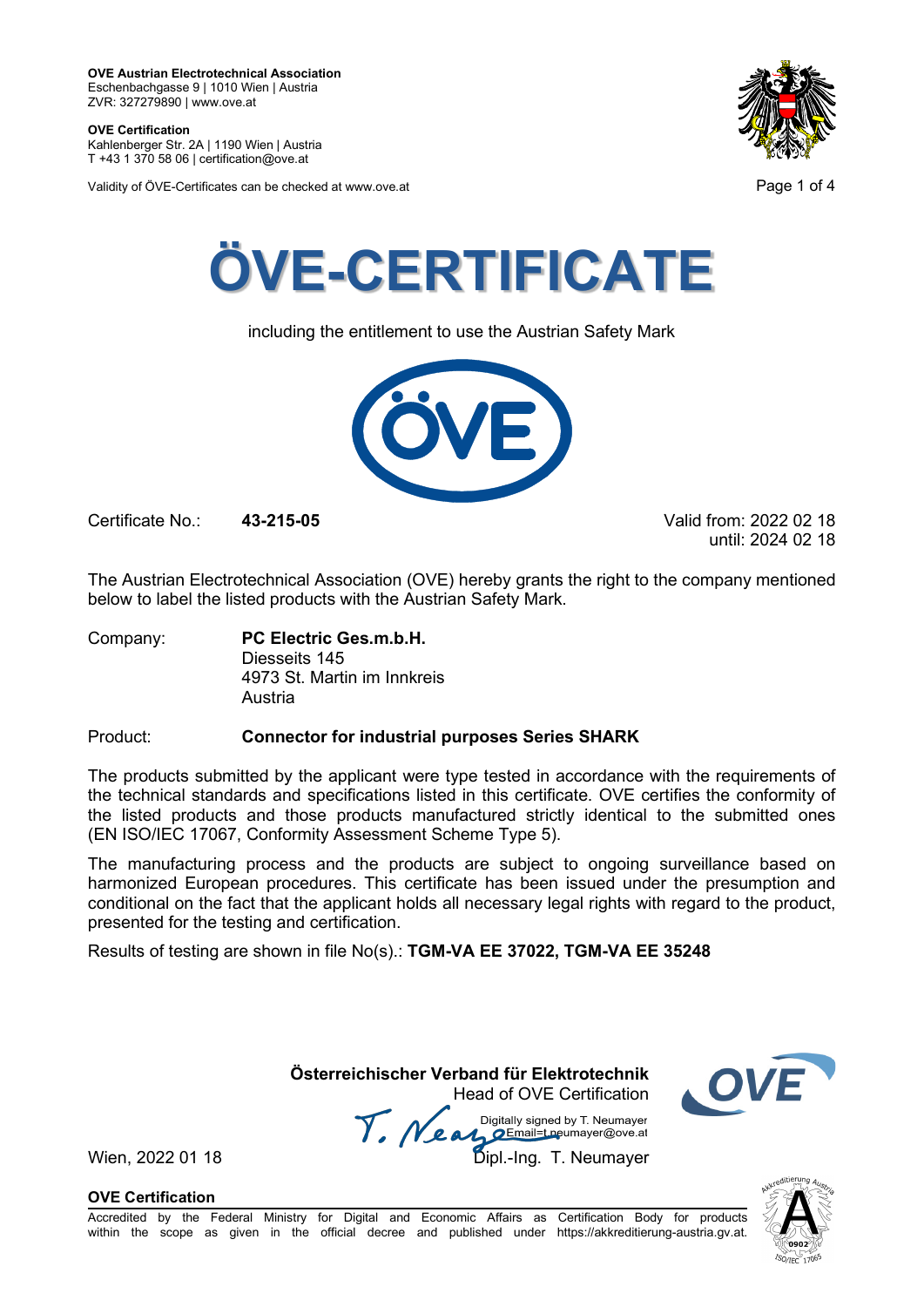**OVE Certification** Kahlenberger Str. 2A | 1190 Wien | Austria

T +43 1 370 58 06 | certification@ove.at

Validity of ÖVE-Certificates can be checked at www.ove.at **Page 1 of 4** Page 1 of 4





including the entitlement to use the Austrian Safety Mark



Certificate No.: **43-215-05** Valid from: 2022 02 18

until: 2024 02 18

The Austrian Electrotechnical Association (OVE) hereby grants the right to the company mentioned below to label the listed products with the Austrian Safety Mark.

Company: **PC Electric Ges.m.b.H.** Diesseits 145 4973 St. Martin im Innkreis Austria

# Product: **Connector for industrial purposes Series SHARK**

The products submitted by the applicant were type tested in accordance with the requirements of the technical standards and specifications listed in this certificate. OVE certifies the conformity of the listed products and those products manufactured strictly identical to the submitted ones (EN ISO/IEC 17067, Conformity Assessment Scheme Type 5).

The manufacturing process and the products are subject to ongoing surveillance based on harmonized European procedures. This certificate has been issued under the presumption and conditional on the fact that the applicant holds all necessary legal rights with regard to the product, presented for the testing and certification.

Results of testing are shown in file No(s).: **TGM-VA EE 37022, TGM-VA EE 35248**

**Österreichischer Verband für Elektrotechnik**

Head of OVE Certification Wien, 2022 01 18 Mean Manus Signeu by Liveumayer<br>Wien, 2022 01 18 Dipl.-Ing. T. Neumayer



**OVE Certification**

Accredited by the Federal Ministry for Digital and Economic Affairs as Certification Body for products within the scope as given in the official decree and published under https://akkreditierung-austria.gv.at.

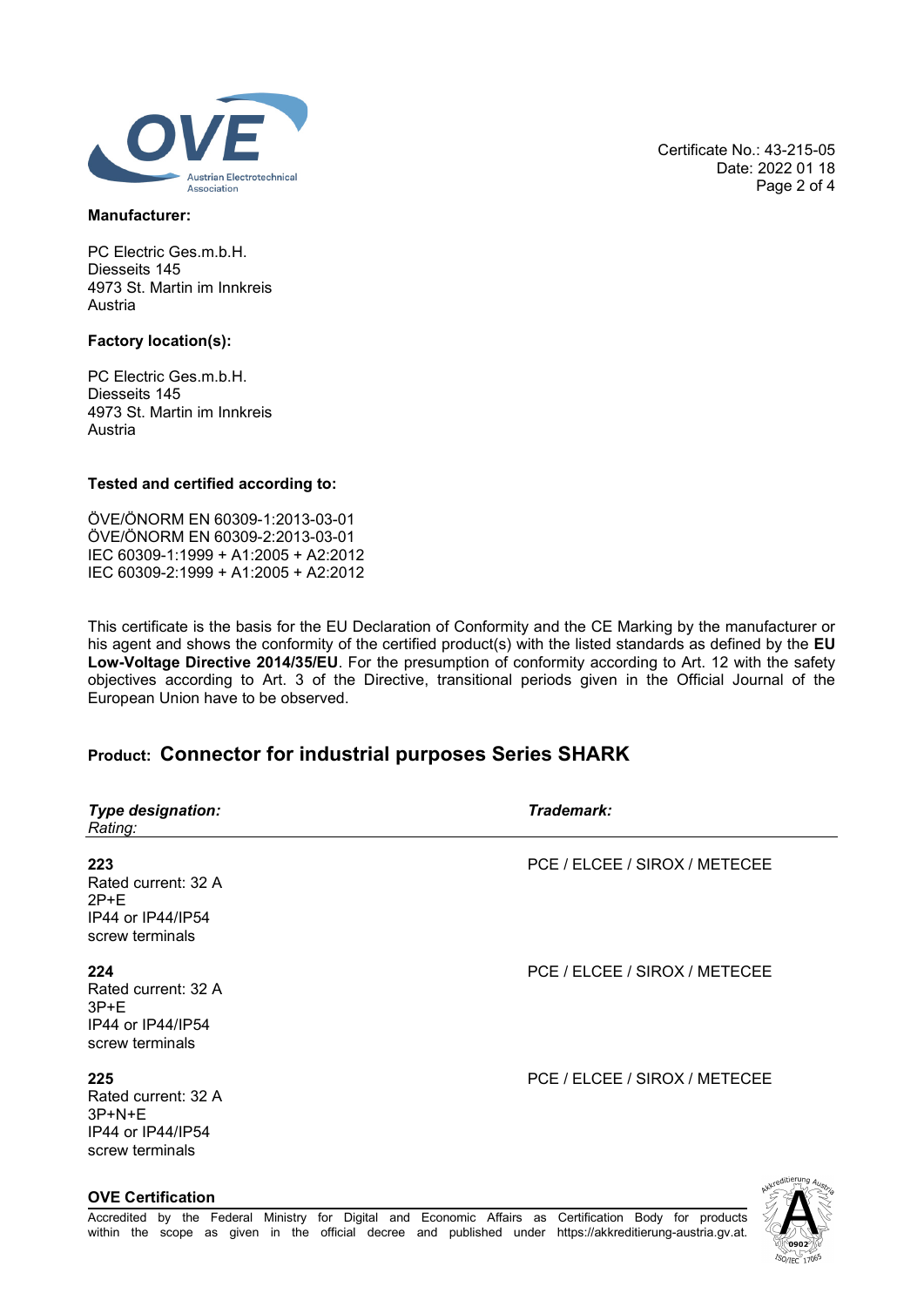

### **Manufacturer:**

PC Electric Ges.m.b.H. Diesseits 145 4973 St. Martin im Innkreis Austria

## **Factory location(s):**

PC Electric Ges.m.b.H. Diesseits 145 4973 St. Martin im Innkreis Austria

## **Tested and certified according to:**

ÖVE/ÖNORM EN 60309-1:2013-03-01 ÖVE/ÖNORM EN 60309-2:2013-03-01 IEC 60309-1:1999 + A1:2005 + A2:2012 IEC 60309-2:1999 + A1:2005 + A2:2012

This certificate is the basis for the EU Declaration of Conformity and the CE Marking by the manufacturer or his agent and shows the conformity of the certified product(s) with the listed standards as defined by the **EU Low-Voltage Directive 2014/35/EU**. For the presumption of conformity according to Art. 12 with the safety objectives according to Art. 3 of the Directive, transitional periods given in the Official Journal of the European Union have to be observed.

# **Product: Connector for industrial purposes Series SHARK**

| <b>Type designation:</b><br>Rating:                                                | Trademark:                    |
|------------------------------------------------------------------------------------|-------------------------------|
| 223<br>Rated current: 32 A<br>$2P+E$<br>IP44 or IP44/IP54<br>screw terminals       | PCE / ELCEE / SIROX / METECEE |
| 224<br>Rated current: 32 A<br>$3P+E$<br>IP44 or IP44/IP54<br>screw terminals       | PCE / ELCEE / SIROX / METECEE |
| 225<br>Rated current: 32 A<br>$3P + N + E$<br>IP44 or IP44/IP54<br>screw terminals | PCE / ELCEE / SIROX / METECEE |
| <b>OVE Certification</b>                                                           |                               |

Certificate No.: 43-215-05 Date: 2022 01 18 Page 2 of 4

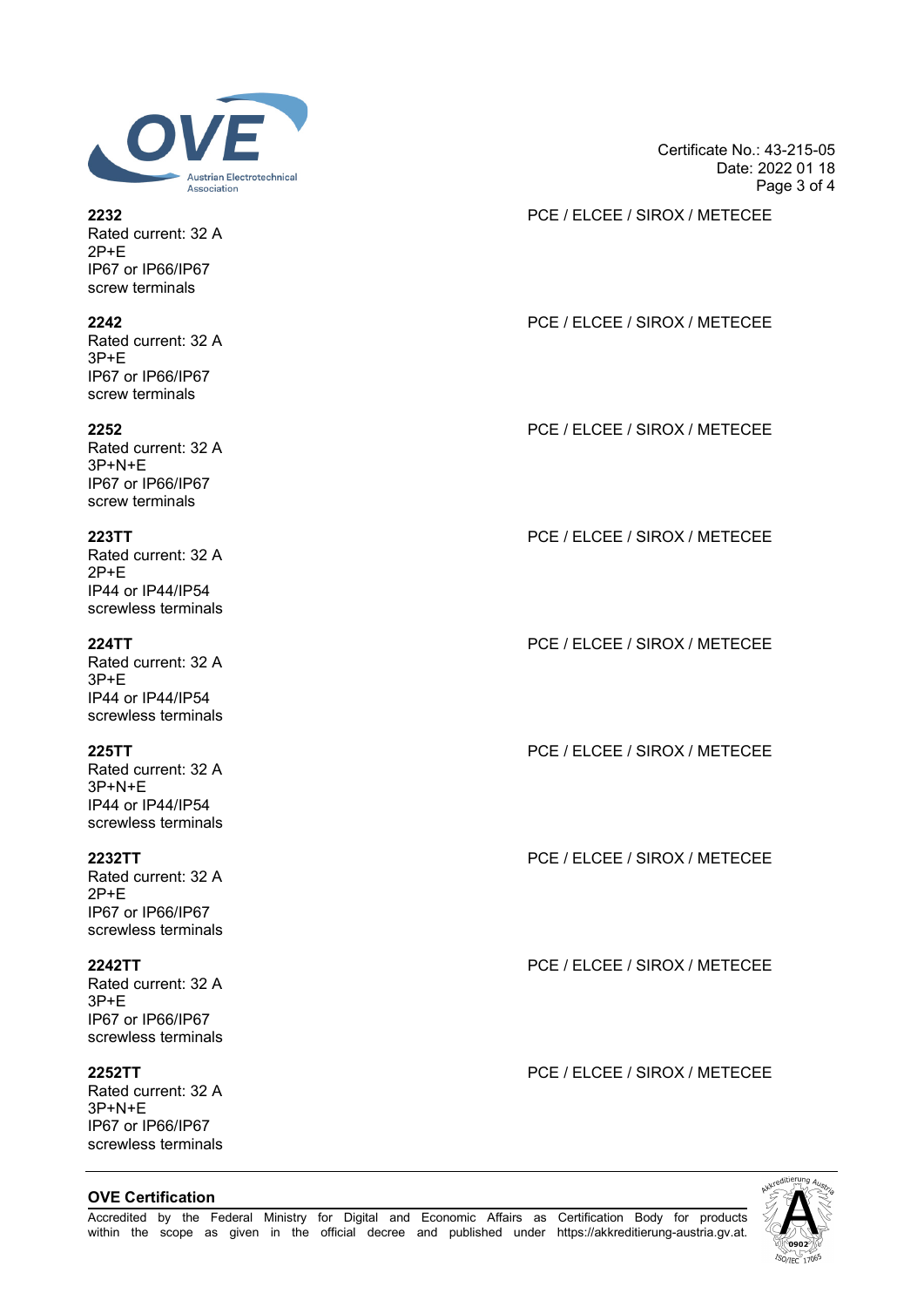

Rated current: 32 A 2P+E IP67 or IP66/IP67 screw terminals

Rated current: 32 A 3P+E IP67 or IP66/IP67 screw terminals

Rated current: 32 A 3P+N+E IP67 or IP66/IP67 screw terminals

Rated current: 32 A 2P+E IP44 or IP44/IP54 screwless terminals

Rated current: 32 A 3P+E IP44 or IP44/IP54 screwless terminals

Rated current: 32 A 3P+N+E IP44 or IP44/IP54 screwless terminals

Rated current: 32 A 2P+E IP67 or IP66/IP67 screwless terminals

Rated current: 32 A 3P+E IP67 or IP66/IP67 screwless terminals

Rated current: 32 A 3P+N+E IP67 or IP66/IP67 screwless terminals

### **OVE Certification**

Certificate No.: 43-215-05 Date: 2022 01 18 Page 3 of 4

**2232** PCE / ELCEE / SIROX / METECEE

# **2242** PCE / ELCEE / SIROX / METECEE

**2252** PCE / ELCEE / SIROX / METECEE

**223TT** PCE / ELCEE / SIROX / METECEE

**224TT** PCE / ELCEE / SIROX / METECEE

**225TT** PCE / ELCEE / SIROX / METECEE

**2232TT** PCE / ELCEE / SIROX / METECEE

**2242TT** PCE / ELCEE / SIROX / METECEE

**2252TT** PCE / ELCEE / SIROX / METECEE